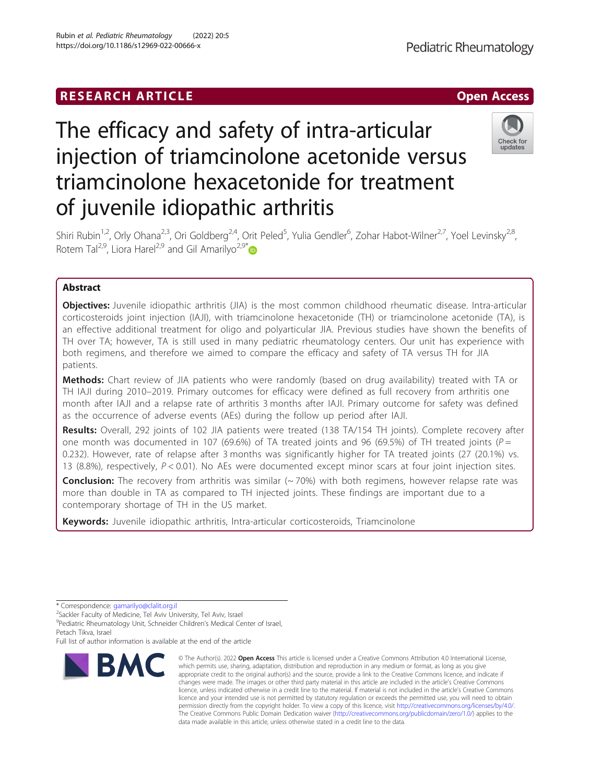## **RESEARCH ARTICLE Example 2018 12:00 Department 2018 12:00 Department 2018 12:00 Department 2018**



# The efficacy and safety of intra-articular injection of triamcinolone acetonide versus triamcinolone hexacetonide for treatment of juvenile idiopathic arthritis



Shiri Rubin<sup>1,2</sup>, Orly Ohana<sup>2,3</sup>, Ori Goldberg<sup>2,4</sup>, Orit Peled<sup>5</sup>, Yulia Gendler<sup>6</sup>, Zohar Habot-Wilner<sup>2,7</sup>, Yoel Levinsky<sup>2,8</sup>, Rotem Tal<sup>2,9</sup>, Liora Harel<sup>2,9</sup> and Gil Amarilyo<sup>2,9\*</sup>

## Abstract

**Objectives:** Juvenile idiopathic arthritis (JIA) is the most common childhood rheumatic disease. Intra-articular corticosteroids joint injection (IAJI), with triamcinolone hexacetonide (TH) or triamcinolone acetonide (TA), is an effective additional treatment for oligo and polyarticular JIA. Previous studies have shown the benefits of TH over TA; however, TA is still used in many pediatric rheumatology centers. Our unit has experience with both regimens, and therefore we aimed to compare the efficacy and safety of TA versus TH for JIA patients.

Methods: Chart review of JIA patients who were randomly (based on drug availability) treated with TA or TH IAJI during 2010–2019. Primary outcomes for efficacy were defined as full recovery from arthritis one month after IAJI and a relapse rate of arthritis 3 months after IAJI. Primary outcome for safety was defined as the occurrence of adverse events (AEs) during the follow up period after IAJI.

Results: Overall, 292 joints of 102 JIA patients were treated (138 TA/154 TH joints). Complete recovery after one month was documented in 107 (69.6%) of TA treated joints and 96 (69.5%) of TH treated joints ( $P =$ 0.232). However, rate of relapse after 3 months was significantly higher for TA treated joints (27 (20.1%) vs. 13 (8.8%), respectively, P < 0.01). No AEs were documented except minor scars at four joint injection sites.

**Conclusion:** The recovery from arthritis was similar  $(~70%)$  with both regimens, however relapse rate was more than double in TA as compared to TH injected joints. These findings are important due to a contemporary shortage of TH in the US market.

Keywords: Juvenile idiopathic arthritis, Intra-articular corticosteroids, Triamcinolone

Full list of author information is available at the end of the article



<sup>©</sup> The Author(s), 2022 **Open Access** This article is licensed under a Creative Commons Attribution 4.0 International License, which permits use, sharing, adaptation, distribution and reproduction in any medium or format, as long as you give appropriate credit to the original author(s) and the source, provide a link to the Creative Commons licence, and indicate if changes were made. The images or other third party material in this article are included in the article's Creative Commons licence, unless indicated otherwise in a credit line to the material. If material is not included in the article's Creative Commons licence and your intended use is not permitted by statutory regulation or exceeds the permitted use, you will need to obtain permission directly from the copyright holder. To view a copy of this licence, visit [http://creativecommons.org/licenses/by/4.0/.](http://creativecommons.org/licenses/by/4.0/) The Creative Commons Public Domain Dedication waiver [\(http://creativecommons.org/publicdomain/zero/1.0/](http://creativecommons.org/publicdomain/zero/1.0/)) applies to the data made available in this article, unless otherwise stated in a credit line to the data.

<sup>\*</sup> Correspondence: [gamarilyo@clalit.org.il](mailto:gamarilyo@clalit.org.il) <sup>2</sup>

<sup>&</sup>lt;sup>2</sup>Sackler Faculty of Medicine, Tel Aviv University, Tel Aviv, Israel

<sup>&</sup>lt;sup>9</sup> Pediatric Rheumatology Unit, Schneider Children's Medical Center of Israel, Petach Tikva, Israel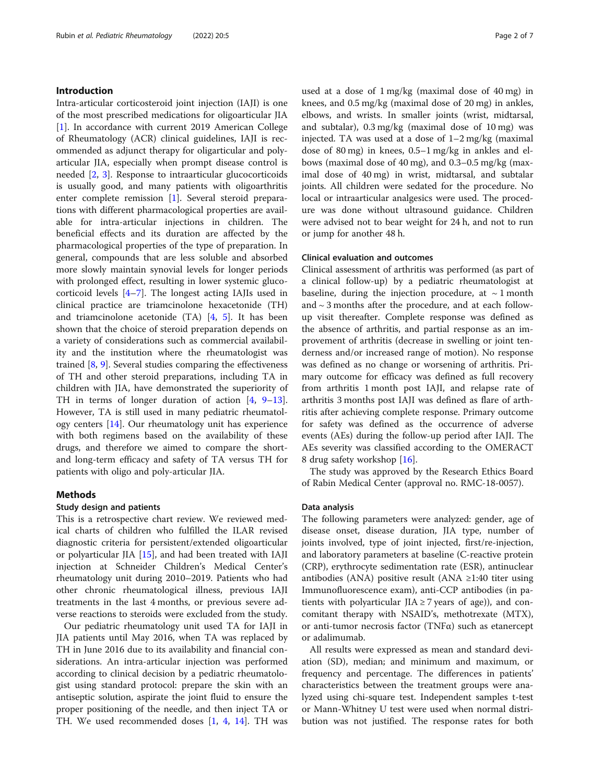#### Introduction

Intra-articular corticosteroid joint injection (IAJI) is one of the most prescribed medications for oligoarticular JIA [[1\]](#page-5-0). In accordance with current 2019 American College of Rheumatology (ACR) clinical guidelines, IAJI is recommended as adjunct therapy for oligarticular and polyarticular JIA, especially when prompt disease control is needed [[2,](#page-5-0) [3](#page-5-0)]. Response to intraarticular glucocorticoids is usually good, and many patients with oligoarthritis enter complete remission [\[1](#page-5-0)]. Several steroid preparations with different pharmacological properties are available for intra-articular injections in children. The beneficial effects and its duration are affected by the pharmacological properties of the type of preparation. In general, compounds that are less soluble and absorbed more slowly maintain synovial levels for longer periods with prolonged effect, resulting in lower systemic glucocorticoid levels [[4](#page-5-0)–[7\]](#page-5-0). The longest acting IAJIs used in clinical practice are triamcinolone hexacetonide (TH) and triamcinolone acetonide (TA) [\[4](#page-5-0), [5\]](#page-5-0). It has been shown that the choice of steroid preparation depends on a variety of considerations such as commercial availability and the institution where the rheumatologist was trained [[8](#page-5-0), [9](#page-5-0)]. Several studies comparing the effectiveness of TH and other steroid preparations, including TA in children with JIA, have demonstrated the superiority of TH in terms of longer duration of action [[4,](#page-5-0) [9](#page-5-0)–[13](#page-6-0)]. However, TA is still used in many pediatric rheumatology centers [[14](#page-6-0)]. Our rheumatology unit has experience with both regimens based on the availability of these drugs, and therefore we aimed to compare the shortand long-term efficacy and safety of TA versus TH for patients with oligo and poly-articular JIA.

#### Methods

### Study design and patients

This is a retrospective chart review. We reviewed medical charts of children who fulfilled the ILAR revised diagnostic criteria for persistent/extended oligoarticular or polyarticular JIA [\[15](#page-6-0)], and had been treated with IAJI injection at Schneider Children's Medical Center's rheumatology unit during 2010–2019. Patients who had other chronic rheumatological illness, previous IAJI treatments in the last 4 months, or previous severe adverse reactions to steroids were excluded from the study.

Our pediatric rheumatology unit used TA for IAJI in JIA patients until May 2016, when TA was replaced by TH in June 2016 due to its availability and financial considerations. An intra-articular injection was performed according to clinical decision by a pediatric rheumatologist using standard protocol: prepare the skin with an antiseptic solution, aspirate the joint fluid to ensure the proper positioning of the needle, and then inject TA or TH. We used recommended doses [\[1](#page-5-0), [4](#page-5-0), [14\]](#page-6-0). TH was

used at a dose of 1 mg/kg (maximal dose of 40 mg) in knees, and 0.5 mg/kg (maximal dose of 20 mg) in ankles, elbows, and wrists. In smaller joints (wrist, midtarsal, and subtalar), 0.3 mg/kg (maximal dose of 10 mg) was injected. TA was used at a dose of 1–2 mg/kg (maximal dose of 80 mg) in knees, 0.5–1 mg/kg in ankles and elbows (maximal dose of 40 mg), and 0.3–0.5 mg/kg (maximal dose of 40 mg) in wrist, midtarsal, and subtalar joints. All children were sedated for the procedure. No local or intraarticular analgesics were used. The procedure was done without ultrasound guidance. Children were advised not to bear weight for 24 h, and not to run or jump for another 48 h.

#### Clinical evaluation and outcomes

Clinical assessment of arthritis was performed (as part of a clinical follow-up) by a pediatric rheumatologist at baseline, during the injection procedure, at  $\sim$  1 month and ~ 3 months after the procedure, and at each followup visit thereafter. Complete response was defined as the absence of arthritis, and partial response as an improvement of arthritis (decrease in swelling or joint tenderness and/or increased range of motion). No response was defined as no change or worsening of arthritis. Primary outcome for efficacy was defined as full recovery from arthritis 1 month post IAJI, and relapse rate of arthritis 3 months post IAJI was defined as flare of arthritis after achieving complete response. Primary outcome for safety was defined as the occurrence of adverse events (AEs) during the follow-up period after IAJI. The AEs severity was classified according to the OMERACT 8 drug safety workshop [\[16](#page-6-0)].

The study was approved by the Research Ethics Board of Rabin Medical Center (approval no. RMC-18-0057).

#### Data analysis

The following parameters were analyzed: gender, age of disease onset, disease duration, JIA type, number of joints involved, type of joint injected, first/re-injection, and laboratory parameters at baseline (C-reactive protein (CRP), erythrocyte sedimentation rate (ESR), antinuclear antibodies (ANA) positive result (ANA  $\geq$ 1:40 titer using Immunofluorescence exam), anti-CCP antibodies (in patients with polyarticular JIA  $\geq$  7 years of age)), and concomitant therapy with NSAID's, methotrexate (MTX), or anti-tumor necrosis factor (TNFα) such as etanercept or adalimumab.

All results were expressed as mean and standard deviation (SD), median; and minimum and maximum, or frequency and percentage. The differences in patients' characteristics between the treatment groups were analyzed using chi-square test. Independent samples t-test or Mann-Whitney U test were used when normal distribution was not justified. The response rates for both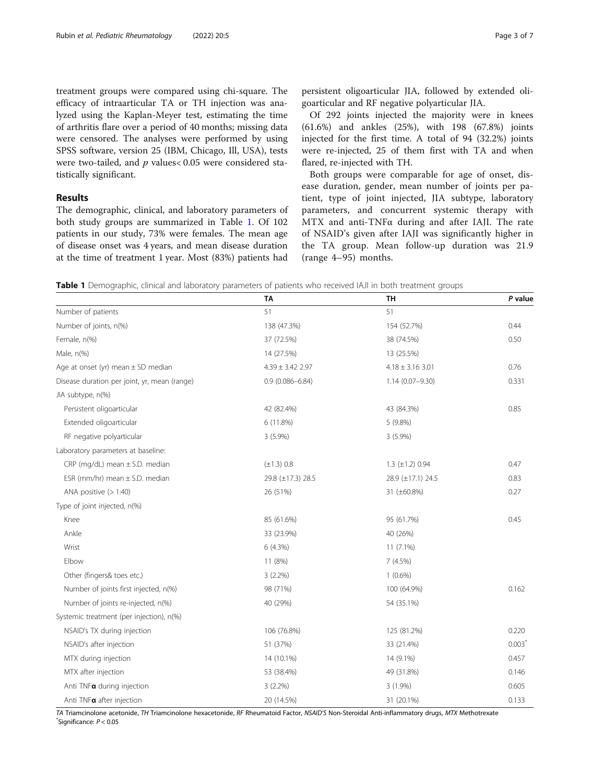treatment groups were compared using chi-square. The efficacy of intraarticular TA or TH injection was analyzed using the Kaplan-Meyer test, estimating the time of arthritis flare over a period of 40 months; missing data were censored. The analyses were performed by using SPSS software, version 25 (IBM, Chicago, Ill, USA), tests were two-tailed, and  $p$  values< 0.05 were considered statistically significant.

#### Results

The demographic, clinical, and laboratory parameters of both study groups are summarized in Table 1. Of 102 patients in our study, 73% were females. The mean age of disease onset was 4 years, and mean disease duration at the time of treatment 1 year. Most (83%) patients had persistent oligoarticular JIA, followed by extended oligoarticular and RF negative polyarticular JIA.

Of 292 joints injected the majority were in knees (61.6%) and ankles (25%), with 198 (67.8%) joints injected for the first time. A total of 94 (32.2%) joints were re-injected, 25 of them first with TA and when flared, re-injected with TH.

Both groups were comparable for age of onset, disease duration, gender, mean number of joints per patient, type of joint injected, JIA subtype, laboratory parameters, and concurrent systemic therapy with MTX and anti-TNFα during and after IAJI. The rate of NSAID's given after IAJI was significantly higher in the TA group. Mean follow-up duration was 21.9 (range 4–95) months.

Table 1 Demographic, clinical and laboratory parameters of patients who received IAJI in both treatment groups

|                                              | <b>TA</b>            | <b>TH</b>              | P value  |
|----------------------------------------------|----------------------|------------------------|----------|
| Number of patients                           | 51<br>51             |                        |          |
| Number of joints, n(%)                       | 138 (47.3%)          | 154 (52.7%)            | 0.44     |
| Female, n(%)                                 | 37 (72.5%)           | 38 (74.5%)             | 0.50     |
| Male, n(%)                                   | 14 (27.5%)           | 13 (25.5%)             |          |
| Age at onset (yr) mean $\pm$ SD median       | $4.39 \pm 3.42$ 2.97 | $4.18 \pm 3.16$ 3.01   | 0.76     |
| Disease duration per joint, yr, mean (range) | $0.9(0.086 - 6.84)$  | $1.14(0.07 - 9.30)$    |          |
| JIA subtype, n(%)                            |                      |                        |          |
| Persistent oligoarticular                    | 42 (82.4%)           | 43 (84.3%)             | 0.85     |
| Extended oligoarticular                      | 6 (11.8%)            | 5 (9.8%)               |          |
| RF negative polyarticular                    | 3 (5.9%)             | 3 (5.9%)               |          |
| Laboratory parameters at baseline:           |                      |                        |          |
| CRP (mg/dL) mean $\pm$ S.D. median           | $(\pm 1.3) 0.8$      | $1.3 \ (\pm 1.2) 0.94$ | 0.47     |
| ESR (mm/hr) mean $\pm$ S.D. median           | 29.8 (±17.3) 28.5    | 28.9 (±17.1) 24.5      | 0.83     |
| ANA positive $(>1:40)$                       | 26 (51%)             | 31 (±60.8%)            | 0.27     |
| Type of joint injected, n(%)                 |                      |                        |          |
| Knee                                         | 85 (61.6%)           | 95 (61.7%)             | 0.45     |
| Ankle                                        | 33 (23.9%)           | 40 (26%)               |          |
| Wrist                                        | 6 (4.3%)             | $11(7.1\%)$            |          |
| Elbow                                        | 11 (8%)              | 7(4.5%)                |          |
| Other (fingers& toes etc.)                   | $3(2.2\%)$           | $1(0.6\%)$             |          |
| Number of joints first injected, n(%)        | 98 (71%)             | 100 (64.9%)            | 0.162    |
| Number of joints re-injected, n(%)           | 40 (29%)             | 54 (35.1%)             |          |
| Systemic treatment (per injection), n(%)     |                      |                        |          |
| NSAID's TX during injection                  | 106 (76.8%)          | 125 (81.2%)            | 0.220    |
| NSAID's after injection                      | 51 (37%)             | 33 (21.4%)             | $0.003*$ |
| MTX during injection                         | 14 (10.1%)           | 14 (9.1%)              | 0.457    |
| MTX after injection                          | 53 (38.4%)           | 49 (31.8%)             | 0.146    |
| Anti TNFa during injection                   | $3(2.2\%)$           | $3(1.9\%)$             | 0.605    |
| Anti TNFa after injection                    | 20 (14.5%)           | 31 (20.1%)             | 0.133    |

TA Triamcinolone acetonide, TH Triamcinolone hexacetonide, RF Rheumatoid Factor, NSAID'<sup>S</sup> Non-Steroidal Anti-inflammatory drugs, MTX Methotrexate \*  $\checkmark$ Significance:  $P < 0.05$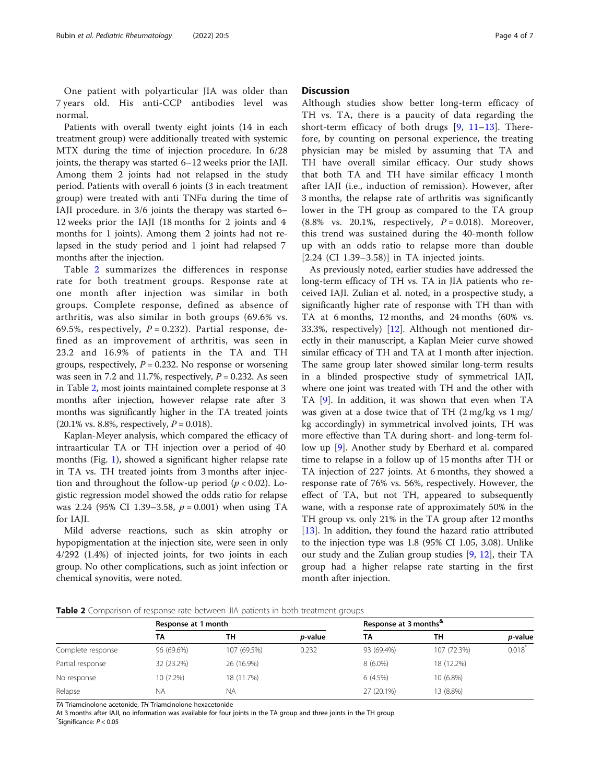One patient with polyarticular JIA was older than 7 years old. His anti-CCP antibodies level was normal.

Patients with overall twenty eight joints (14 in each treatment group) were additionally treated with systemic MTX during the time of injection procedure. In 6/28 joints, the therapy was started 6–12 weeks prior the IAJI. Among them 2 joints had not relapsed in the study period. Patients with overall 6 joints (3 in each treatment group) were treated with anti TNFα during the time of IAJI procedure. in 3/6 joints the therapy was started 6– 12 weeks prior the IAJI (18 months for 2 joints and 4 months for 1 joints). Among them 2 joints had not relapsed in the study period and 1 joint had relapsed 7 months after the injection.

Table 2 summarizes the differences in response rate for both treatment groups. Response rate at one month after injection was similar in both groups. Complete response, defined as absence of arthritis, was also similar in both groups (69.6% vs. 69.5%, respectively,  $P = 0.232$ ). Partial response, defined as an improvement of arthritis, was seen in 23.2 and 16.9% of patients in the TA and TH groups, respectively,  $P = 0.232$ . No response or worsening was seen in 7.2 and 11.7%, respectively,  $P = 0.232$ . As seen in Table 2, most joints maintained complete response at 3 months after injection, however relapse rate after 3 months was significantly higher in the TA treated joints  $(20.1\% \text{ vs. } 8.8\%, \text{ respectively, } P = 0.018).$ 

Kaplan-Meyer analysis, which compared the efficacy of intraarticular TA or TH injection over a period of 40 months (Fig. [1](#page-4-0)), showed a significant higher relapse rate in TA vs. TH treated joints from 3 months after injection and throughout the follow-up period ( $p < 0.02$ ). Logistic regression model showed the odds ratio for relapse was 2.24 (95% CI 1.39-3.58,  $p = 0.001$ ) when using TA for IAJI.

Mild adverse reactions, such as skin atrophy or hypopigmentation at the injection site, were seen in only 4/292 (1.4%) of injected joints, for two joints in each group. No other complications, such as joint infection or chemical synovitis, were noted.

#### **Discussion**

Although studies show better long-term efficacy of TH vs. TA, there is a paucity of data regarding the short-term efficacy of both drugs  $[9, 11-13]$  $[9, 11-13]$  $[9, 11-13]$  $[9, 11-13]$  $[9, 11-13]$  $[9, 11-13]$  $[9, 11-13]$ . Therefore, by counting on personal experience, the treating physician may be misled by assuming that TA and TH have overall similar efficacy. Our study shows that both TA and TH have similar efficacy 1 month after IAJI (i.e., induction of remission). However, after 3 months, the relapse rate of arthritis was significantly lower in the TH group as compared to the TA group  $(8.8\%$  vs. 20.1%, respectively,  $P = 0.018$ ). Moreover, this trend was sustained during the 40-month follow up with an odds ratio to relapse more than double [2.24 (CI 1.39–3.58)] in TA injected joints.

As previously noted, earlier studies have addressed the long-term efficacy of TH vs. TA in JIA patients who received IAJI. Zulian et al. noted, in a prospective study, a significantly higher rate of response with TH than with TA at 6 months, 12 months, and 24 months (60% vs. 33.3%, respectively) [[12\]](#page-6-0). Although not mentioned directly in their manuscript, a Kaplan Meier curve showed similar efficacy of TH and TA at 1 month after injection. The same group later showed similar long-term results in a blinded prospective study of symmetrical IAJI, where one joint was treated with TH and the other with TA [[9\]](#page-5-0). In addition, it was shown that even when TA was given at a dose twice that of TH (2 mg/kg vs 1 mg/ kg accordingly) in symmetrical involved joints, TH was more effective than TA during short- and long-term follow up [[9\]](#page-5-0). Another study by Eberhard et al. compared time to relapse in a follow up of 15 months after TH or TA injection of 227 joints. At 6 months, they showed a response rate of 76% vs. 56%, respectively. However, the effect of TA, but not TH, appeared to subsequently wane, with a response rate of approximately 50% in the TH group vs. only 21% in the TA group after 12 months [[13\]](#page-6-0). In addition, they found the hazard ratio attributed to the injection type was 1.8 (95% CI 1.05, 3.08). Unlike our study and the Zulian group studies [[9,](#page-5-0) [12\]](#page-6-0), their TA group had a higher relapse rate starting in the first month after injection.

Table 2 Comparison of response rate between JIA patients in both treatment groups

|                   | Response at 1 month |             |                 | Response at 3 months <sup>*</sup> |             |                 |
|-------------------|---------------------|-------------|-----------------|-----------------------------------|-------------|-----------------|
|                   | ΤА                  | ΤН          | <i>p</i> -value | ТА                                | ΤН          | <i>p</i> -value |
| Complete response | 96 (69.6%)          | 107 (69.5%) | 0.232           | 93 (69.4%)                        | 107 (72.3%) | 0.018           |
| Partial response  | 32 (23.2%)          | 26 (16.9%)  |                 | $8(6.0\%)$                        | 18 (12.2%)  |                 |
| No response       | 10 (7.2%)           | 18 (11.7%)  |                 | 6 (4.5%)                          | $10(6.8\%)$ |                 |
| Relapse           | ΝA                  | ΝA          |                 | 27 (20.1%)                        | 13 (8.8%)   |                 |

TA Triamcinolone acetonide, TH Triamcinolone hexacetonide

At 3 months after IAJI, no information was available for four joints in the TA group and three joints in the TH group \* Significance: P < 0.05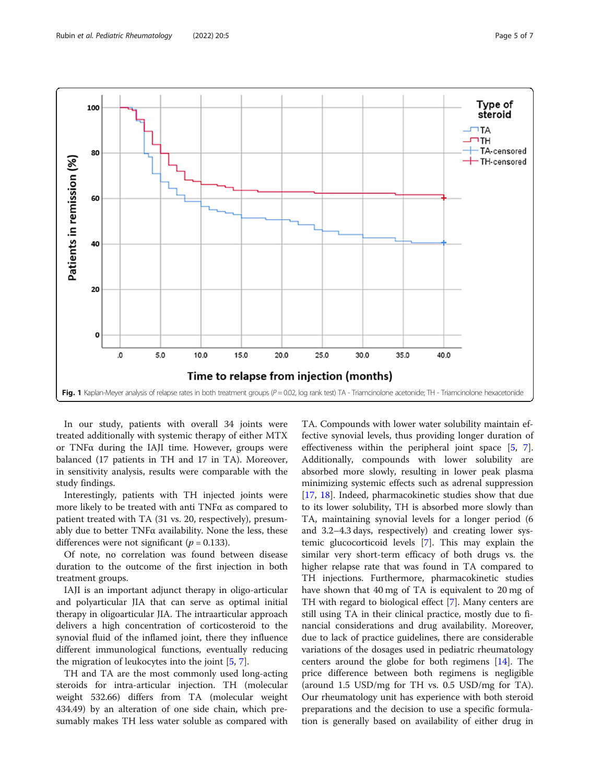<span id="page-4-0"></span>

In our study, patients with overall 34 joints were treated additionally with systemic therapy of either MTX or TNFα during the IAJI time. However, groups were balanced (17 patients in TH and 17 in TA). Moreover, in sensitivity analysis, results were comparable with the study findings.

Interestingly, patients with TH injected joints were more likely to be treated with anti TNFα as compared to patient treated with TA (31 vs. 20, respectively), presumably due to better TNFα availability. None the less, these differences were not significant ( $p = 0.133$ ).

Of note, no correlation was found between disease duration to the outcome of the first injection in both treatment groups.

IAJI is an important adjunct therapy in oligo-articular and polyarticular JIA that can serve as optimal initial therapy in oligoarticular JIA. The intraarticular approach delivers a high concentration of corticosteroid to the synovial fluid of the inflamed joint, there they influence different immunological functions, eventually reducing the migration of leukocytes into the joint [\[5](#page-5-0), [7](#page-5-0)].

TH and TA are the most commonly used long-acting steroids for intra-articular injection. TH (molecular weight 532.66) differs from TA (molecular weight 434.49) by an alteration of one side chain, which presumably makes TH less water soluble as compared with

TA. Compounds with lower water solubility maintain effective synovial levels, thus providing longer duration of effectiveness within the peripheral joint space [\[5](#page-5-0), [7](#page-5-0)]. Additionally, compounds with lower solubility are absorbed more slowly, resulting in lower peak plasma minimizing systemic effects such as adrenal suppression [[17,](#page-6-0) [18](#page-6-0)]. Indeed, pharmacokinetic studies show that due to its lower solubility, TH is absorbed more slowly than TA, maintaining synovial levels for a longer period (6 and 3.2–4.3 days, respectively) and creating lower systemic glucocorticoid levels [\[7](#page-5-0)]. This may explain the similar very short-term efficacy of both drugs vs. the higher relapse rate that was found in TA compared to TH injections. Furthermore, pharmacokinetic studies have shown that 40 mg of TA is equivalent to 20 mg of TH with regard to biological effect [[7\]](#page-5-0). Many centers are still using TA in their clinical practice, mostly due to financial considerations and drug availability. Moreover, due to lack of practice guidelines, there are considerable variations of the dosages used in pediatric rheumatology centers around the globe for both regimens [\[14](#page-6-0)]. The price difference between both regimens is negligible (around 1.5 USD/mg for TH vs. 0.5 USD/mg for TA). Our rheumatology unit has experience with both steroid preparations and the decision to use a specific formulation is generally based on availability of either drug in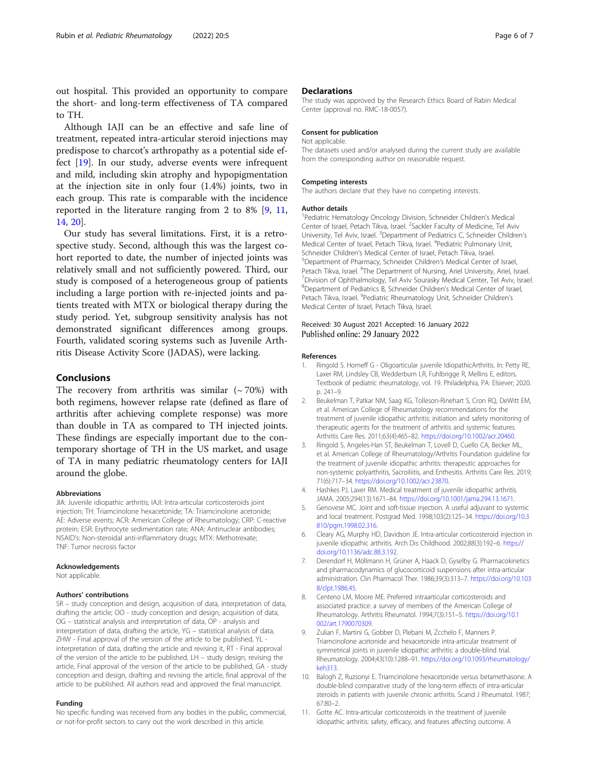<span id="page-5-0"></span>out hospital. This provided an opportunity to compare the short- and long-term effectiveness of TA compared to TH.

Although IAJI can be an effective and safe line of treatment, repeated intra-articular steroid injections may predispose to charcot's arthropathy as a potential side effect [\[19](#page-6-0)]. In our study, adverse events were infrequent and mild, including skin atrophy and hypopigmentation at the injection site in only four (1.4%) joints, two in each group. This rate is comparable with the incidence reported in the literature ranging from 2 to 8% [9, 11, [14,](#page-6-0) [20](#page-6-0)].

Our study has several limitations. First, it is a retrospective study. Second, although this was the largest cohort reported to date, the number of injected joints was relatively small and not sufficiently powered. Third, our study is composed of a heterogeneous group of patients including a large portion with re-injected joints and patients treated with MTX or biological therapy during the study period. Yet, subgroup sensitivity analysis has not demonstrated significant differences among groups. Fourth, validated scoring systems such as Juvenile Arthritis Disease Activity Score (JADAS), were lacking.

#### Conclusions

The recovery from arthritis was similar  $({\sim}70%)$  with both regimens, however relapse rate (defined as flare of arthritis after achieving complete response) was more than double in TA as compared to TH injected joints. These findings are especially important due to the contemporary shortage of TH in the US market, and usage of TA in many pediatric rheumatology centers for IAJI around the globe.

#### Abbreviations

JIA: Juvenile idiopathic arthritis; IAJI: Intra-articular corticosteroids joint injection; TH: Triamcinolone hexacetonide; TA: Triamcinolone acetonide; AE: Adverse events; ACR: American College of Rheumatology; CRP: C-reactive protein; ESR: Erythrocyte sedimentation rate; ANA: Antinuclear antibodies; NSAID's: Non-steroidal anti-inflammatory drugs; MTX: Methotrexate; TNF: Tumor necrosis factor

#### Acknowledgements

Not applicable.

#### Authors' contributions

SR – study conception and design, acquisition of data, interpretation of data, drafting the article; OO - study conception and design, acquisition of data, OG – statistical analysis and interpretation of data, OP - analysis and interpretation of data, drafting the article, YG – statistical analysis of data, ZHW - Final approval of the version of the article to be published, YL interpretation of data, drafting the article and revising it, RT - Final approval of the version of the article to be published, LH – study design, revising the article, Final approval of the version of the article to be published, GA - study conception and design, drafting and revising the article, final approval of the article to be published. All authors read and approved the final manuscript.

#### Funding

No specific funding was received from any bodies in the public, commercial, or not-for-profit sectors to carry out the work described in this article.

#### **Declarations**

The study was approved by the Research Ethics Board of Rabin Medical Center (approval no. RMC-18-0057).

#### Consent for publication

#### Not applicable.

The datasets used and/or analysed during the current study are available from the corresponding author on reasonable request.

#### Competing interests

The authors declare that they have no competing interests.

#### Author details

<sup>1</sup> Pediatric Hematology Oncology Division, Schneider Children's Medical Center of Israel, Petach Tikva, Israel. <sup>2</sup>Sackler Faculty of Medicine, Tel Aviv University, Tel Aviv, Israel. <sup>3</sup>Department of Pediatrics C, Schneider Children's Medical Center of Israel, Petach Tikva, Israel. <sup>4</sup> Pediatric Pulmonary Unit Schneider Children's Medical Center of Israel, Petach Tikva, Israel. <sup>5</sup>Department of Pharmacy, Schneider Children's Medical Center of Israel, Petach Tikva, Israel. <sup>6</sup>The Department of Nursing, Ariel University, Ariel, Israel.<br><sup>7</sup> Division of Ophthalmology, Tel Aviv, Sourasky Modical Conter, Tel Aviv, Israel Division of Ophthalmology, Tel Aviv Sourasky Medical Center, Tel Aviv, Israel. 8 Department of Pediatrics B, Schneider Children's Medical Center of Israel, Petach Tikva, Israel. <sup>9</sup>Pediatric Rheumatology Unit, Schneider Children's Medical Center of Israel, Petach Tikva, Israel.

#### Received: 30 August 2021 Accepted: 16 January 2022 Published online: 29 January 2022

#### References

- Ringold S. Horneff G Oligoarticular juvenile IdiopathicArthritis. In: Petty RE, Laxer RM, Lindsley CB, Wedderburn LR, Fuhlbrigge R, Mellins E, editors. Textbook of pediatric rheumatology, vol. 19. Philadelphia, PA: Elsiever; 2020. p. 241–9.
- 2. Beukelman T, Patkar NM, Saag KG, Tolleson-Rinehart S, Cron RQ, DeWitt EM, et al. American College of Rheumatology recommendations for the treatment of juvenile idiopathic arthritis: initiation and safety monitoring of therapeutic agents for the treatment of arthritis and systemic features. Arthritis Care Res. 2011;63(4):465–82. <https://doi.org/10.1002/acr.20460>.
- 3. Ringold S, Angeles-Han ST, Beukelman T, Lovell D, Cuello CA, Becker ML, et al. American College of Rheumatology/Arthritis Foundation guideline for the treatment of juvenile idiopathic arthritis: therapeutic approaches for non-systemic polyarthritis, Sacroiliitis, and Enthesitis. Arthritis Care Res. 2019; 71(6):717–34. [https://doi.org/10.1002/acr.23870.](https://doi.org/10.1002/acr.23870)
- 4. Hashkes PJ, Laxer RM. Medical treatment of juvenile idiopathic arthritis. JAMA. 2005;294(13):1671–84. [https://doi.org/10.1001/jama.294.13.1671.](https://doi.org/10.1001/jama.294.13.1671)
- 5. Genovese MC. Joint and soft-tissue injection. A useful adjuvant to systemic and local treatment. Postgrad Med. 1998;103(2):125–34. [https://doi.org/10.3](https://doi.org/10.3810/pgm.1998.02.316) [810/pgm.1998.02.316](https://doi.org/10.3810/pgm.1998.02.316).
- 6. Cleary AG, Murphy HD, Davidson JE. Intra-articular corticosteroid injection in juvenile idiopathic arthritis. Arch Dis Childhood. 2002;88(3):192–6. [https://](https://doi.org/10.1136/adc.88.3.192) [doi.org/10.1136/adc.88.3.192.](https://doi.org/10.1136/adc.88.3.192)
- 7. Derendorf H, Möllmann H, Grüner A, Haack D, Gyselby G. Pharmacokinetics and pharmacodynamics of glucocorticoid suspensions after intra-articular administration. Clin Pharmacol Ther. 1986;39(3):313–7. [https://doi.org/10.103](https://doi.org/10.1038/clpt.1986.45) [8/clpt.1986.45](https://doi.org/10.1038/clpt.1986.45).
- 8. Centeno LM, Moore ME. Preferred intraarticular corticosteroids and associated practice: a survey of members of the American College of Rheumatology. Arthritis Rheumatol. 1994;7(3):151–5. [https://doi.org/10.1](https://doi.org/10.1002/art.1790070309) [002/art.1790070309](https://doi.org/10.1002/art.1790070309).
- 9. Zulian F, Martini G, Gobber D, Plebani M, Zcchelo F, Manners P. Triamcinolone acetonide and hexacetonide intra-articular treatment of symmetrical joints in juvenile idiopathic arthritis: a double-blind trial. Rheumatology. 2004;43(10):1288–91. [https://doi.org/10.1093/rheumatology/](https://doi.org/10.1093/rheumatology/keh313) [keh313](https://doi.org/10.1093/rheumatology/keh313).
- 10. Balogh Z, Ruzsonyi E. Triamcinolone hexacetonide versus betamethasone. A double-blind comparative study of the long-term effects of intra-articular steroids in patients with juvenile chronic arthritis. Scand J Rheumatol. 1987; 67:80–2.
- 11. Gotte AC. Intra-articular corticosteroids in the treatment of juvenile idiopathic arthritis: safety, efficacy, and features affecting outcome. A